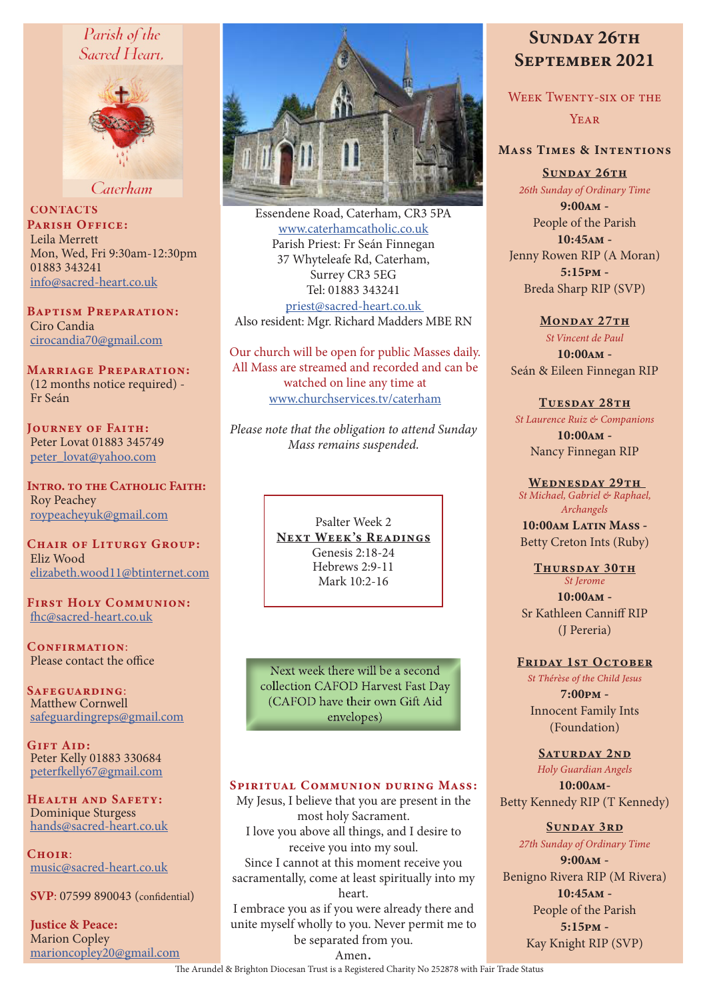## Parish of the Sacred Heart.



Caterham

**CONTACTS** PARISH OFFICE: Leila Merrett Mon, Wed, Fri 9:30am-12:30pm 01883 343241 info@sacred-heart.co.uk

Baptism Preparation: Ciro Candia cirocandia70@gmail.com

Marriage Preparation: (12 months notice required) - Fr Seán

Journey of Faith: Peter Lovat 01883 345749 peter\_lovat@yahoo.com

Intro. to the Catholic Faith: Roy Peachey roypeacheyuk@gmail.com

CHAIR OF LITURGY GROUP: Eliz Wood elizabeth.wood11@btinternet.com

First Holy Communion: fhc@sacred-heart.co.uk

CONFIRMATION: Please contact the office

Safeguarding: Matthew Cornwell safeguardingreps@gmail.com

GIFT AID: Peter Kelly 01883 330684 peterfkelly67@gmail.com

HEALTH AND SAFETY: Dominique Sturgess hands@sacred-heart.co.uk

 $C$ HOIR: music@sacred-heart.co.uk

SVP: 07599 890043 (confidential)

Justice & Peace: Marion Copley marioncopley20@gmail.com



Essendene Road, Caterham, CR3 5PA www.caterhamcatholic.co.uk Parish Priest: Fr Seán Finnegan 37 Whyteleafe Rd, Caterham, Surrey CR3 5EG Tel: 01883 343241 priest@sacred-heart.co.uk Also resident: Mgr. Richard Madders MBE RN

Our church will be open for public Masses daily. All Mass are streamed and recorded and can be watched on line any time at www.churchservices.tv/caterham

*Please note that the obligation to attend Sunday Mass remains suspended.*

> Psalter Week 2 NEXT WEEK'S READINGS Genesis 2:18-24 Hebrews 2:9-11 Mark 10:2-16

Next week there will be a second collection CAFOD Harvest Fast Day (CAFOD have their own Gift Aid envelopes)

## SPIRITUAL COMMUNION DURING MASS:

My Jesus, I believe that you are present in the most holy Sacrament. I love you above all things, and I desire to receive you into my soul. Since I cannot at this moment receive you sacramentally, come at least spiritually into my heart. I embrace you as if you were already there and

unite myself wholly to you. Never permit me to be separated from you.

# SUNDAY 26TH September 2021

WEEK TWENTY-SIX OF THE **YEAR** 

## Mass Times & Intentions

SUNDAY 26TH *26th Sunday of Ordinary Time*

9:00am - People of the Parish

10:45am - Jenny Rowen RIP (A Moran) 5:15pm - Breda Sharp RIP (SVP)

#### MONDAY 27TH

*St Vincent de Paul* 10:00am - Seán & Eileen Finnegan RIP

#### TUESDAY 28TH

*St Laurence Ruiz & Companions*

10:00am - Nancy Finnegan RIP

#### WEDNESDAY 29TH

*St Michael, Gabriel & Raphael, Archangels*

10:00am Latin Mass -Betty Creton Ints (Ruby)

#### THURSDAY 30TH *St Jerome*

10:00am - Sr Kathleen Canniff RIP (J Pereria)

#### FRIDAY 1ST OCTOBER

*St Thérèse of the Child Jesus* 7:00pm - Innocent Family Ints (Foundation)

SATURDAY 2ND

*Holy Guardian Angels* 10:00am-Betty Kennedy RIP (T Kennedy)

#### SUNDAY 3RD

*27th Sunday of Ordinary Time*

9:00am - Benigno Rivera RIP (M Rivera) 10:45am - People of the Parish 5:15pm - Kay Knight RIP (SVP)

Amen.

The Arundel & Brighton Diocesan Trust is a Registered Charity No 252878 with Fair Trade Status